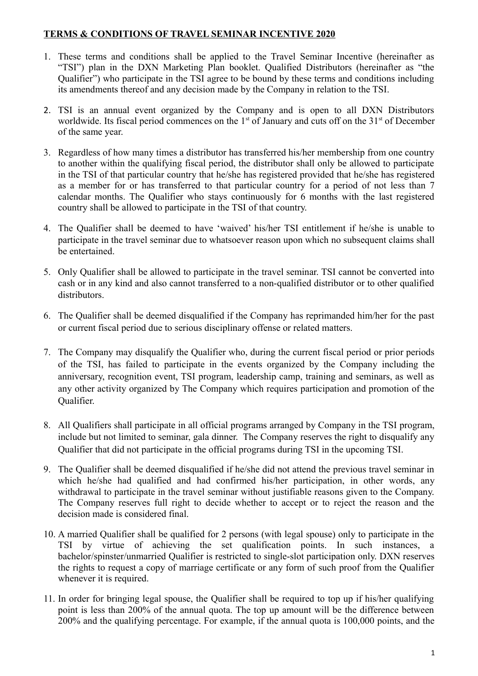## **TERMS & CONDITIONS OF TRAVEL SEMINAR INCENTIVE 2020**

- 1. These terms and conditions shall be applied to the Travel Seminar Incentive (hereinafter as "TSI") plan in the DXN Marketing Plan booklet. Qualified Distributors (hereinafter as "the Qualifier") who participate in the TSI agree to be bound by these terms and conditions including its amendments thereof and any decision made by the Company in relation to the TSI.
- 2. TSI is an annual event organized by the Company and is open to all DXN Distributors worldwide. Its fiscal period commences on the  $1<sup>st</sup>$  of January and cuts off on the  $31<sup>st</sup>$  of December of the same year.
- 3. Regardless of how many times a distributor has transferred his/her membership from one country to another within the qualifying fiscal period, the distributor shall only be allowed to participate in the TSI of that particular country that he/she has registered provided that he/she has registered as a member for or has transferred to that particular country for a period of not less than 7 calendar months. The Qualifier who stays continuously for 6 months with the last registered country shall be allowed to participate in the TSI of that country.
- 4. The Qualifier shall be deemed to have 'waived' his/her TSI entitlement if he/she is unable to participate in the travel seminar due to whatsoever reason upon which no subsequent claims shall be entertained.
- 5. Only Qualifier shall be allowed to participate in the travel seminar. TSI cannot be converted into cash or in any kind and also cannot transferred to a non-qualified distributor or to other qualified distributors.
- 6. The Qualifier shall be deemed disqualified if the Company has reprimanded him/her for the past or current fiscal period due to serious disciplinary offense or related matters.
- 7. The Company may disqualify the Qualifier who, during the current fiscal period or prior periods of the TSI, has failed to participate in the events organized by the Company including the anniversary, recognition event, TSI program, leadership camp, training and seminars, as well as any other activity organized by The Company which requires participation and promotion of the Qualifier.
- 8. All Qualifiers shall participate in all official programs arranged by Company in the TSI program, include but not limited to seminar, gala dinner. The Company reserves the right to disqualify any Qualifier that did not participate in the official programs during TSI in the upcoming TSI.
- 9. The Qualifier shall be deemed disqualified if he/she did not attend the previous travel seminar in which he/she had qualified and had confirmed his/her participation, in other words, any withdrawal to participate in the travel seminar without justifiable reasons given to the Company. The Company reserves full right to decide whether to accept or to reject the reason and the decision made is considered final.
- 10. A married Qualifier shall be qualified for 2 persons (with legal spouse) only to participate in the TSI by virtue of achieving the set qualification points. In such instances, a bachelor/spinster/unmarried Qualifier is restricted to single-slot participation only. DXN reserves the rights to request a copy of marriage certificate or any form of such proof from the Qualifier whenever it is required.
- 11. In order for bringing legal spouse, the Qualifier shall be required to top up if his/her qualifying point is less than 200% of the annual quota. The top up amount will be the difference between 200% and the qualifying percentage. For example, if the annual quota is 100,000 points, and the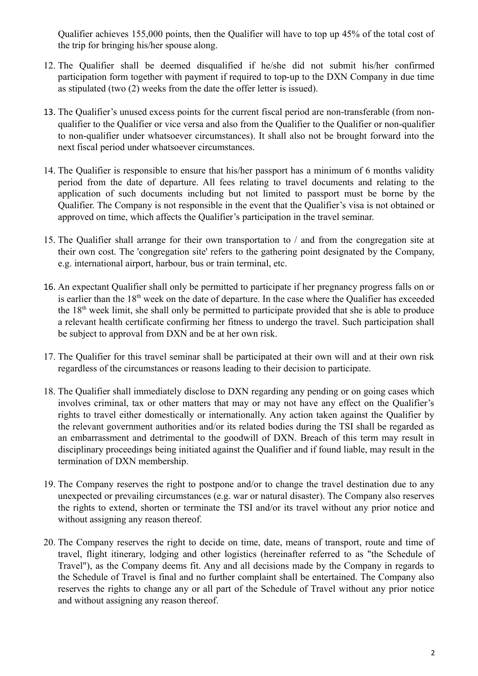Qualifier achieves 155,000 points, then the Qualifier will have to top up 45% of the total cost of the trip for bringing his/her spouse along.

- 12. The Qualifier shall be deemed disqualified if he/she did not submit his/her confirmed participation form together with payment if required to top-up to the DXN Company in due time as stipulated (two (2) weeks from the date the offer letter is issued).
- 13. The Qualifier's unused excess points for the current fiscal period are non-transferable (from nonqualifier to the Qualifier or vice versa and also from the Qualifier to the Qualifier or non-qualifier to non-qualifier under whatsoever circumstances). It shall also not be brought forward into the next fiscal period under whatsoever circumstances.
- 14. The Qualifier is responsible to ensure that his/her passport has a minimum of 6 months validity period from the date of departure. All fees relating to travel documents and relating to the application of such documents including but not limited to passport must be borne by the Qualifier. The Company is not responsible in the event that the Qualifier's visa is not obtained or approved on time, which affects the Qualifier's participation in the travel seminar.
- 15. The Qualifier shall arrange for their own transportation to / and from the congregation site at their own cost. The 'congregation site' refers to the gathering point designated by the Company, e.g. international airport, harbour, bus or train terminal, etc.
- 16. An expectant Qualifier shall only be permitted to participate if her pregnancy progress falls on or is earlier than the 18<sup>th</sup> week on the date of departure. In the case where the Qualifier has exceeded the 18th week limit, she shall only be permitted to participate provided that she is able to produce a relevant health certificate confirming her fitness to undergo the travel. Such participation shall be subject to approval from DXN and be at her own risk.
- 17. The Qualifier for this travel seminar shall be participated at their own will and at their own risk regardless of the circumstances or reasons leading to their decision to participate.
- 18. The Qualifier shall immediately disclose to DXN regarding any pending or on going cases which involves criminal, tax or other matters that may or may not have any effect on the Qualifier's rights to travel either domestically or internationally. Any action taken against the Qualifier by the relevant government authorities and/or its related bodies during the TSI shall be regarded as an embarrassment and detrimental to the goodwill of DXN. Breach of this term may result in disciplinary proceedings being initiated against the Qualifier and if found liable, may result in the termination of DXN membership.
- 19. The Company reserves the right to postpone and/or to change the travel destination due to any unexpected or prevailing circumstances (e.g. war or natural disaster). The Company also reserves the rights to extend, shorten or terminate the TSI and/or its travel without any prior notice and without assigning any reason thereof.
- 20. The Company reserves the right to decide on time, date, means of transport, route and time of travel, flight itinerary, lodging and other logistics (hereinafter referred to as "the Schedule of Travel"), as the Company deems fit. Any and all decisions made by the Company in regards to the Schedule of Travel is final and no further complaint shall be entertained. The Company also reserves the rights to change any or all part of the Schedule of Travel without any prior notice and without assigning any reason thereof.